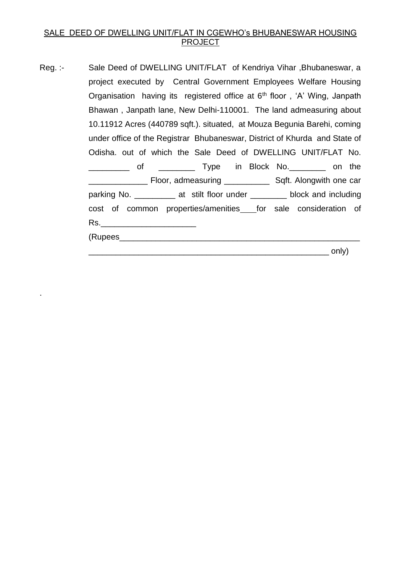# SALE DEED OF DWELLING UNIT/FLAT IN CGEWHO's BHUBANESWAR HOUSING PROJECT

Reg. :- Sale Deed of DWELLING UNIT/FLAT of Kendriya Vihar , Bhubaneswar, a project executed by Central Government Employees Welfare Housing Organisation having its registered office at 6th floor , 'A' Wing, Janpath Bhawan , Janpath lane, New Delhi-110001. The land admeasuring about 10.11912 Acres (440789 sqft.). situated, at Mouza Begunia Barehi, coming under office of the Registrar Bhubaneswar, District of Khurda and State of Odisha. out of which the Sale Deed of DWELLING UNIT/FLAT No. \_\_\_\_\_\_\_\_\_\_\_\_ of \_\_\_\_\_\_\_\_\_\_\_ Type in Block No. \_\_\_\_\_\_\_\_\_ on the \_\_\_\_\_\_\_\_\_\_\_\_\_ Floor, admeasuring \_\_\_\_\_\_\_\_\_\_ Sqft. Alongwith one car parking No. \_\_\_\_\_\_\_\_\_\_ at stilt floor under \_\_\_\_\_\_\_\_\_ block and including cost of common properties/amenities\_ for sale consideration of Rs.\_\_\_\_\_\_\_\_\_\_\_\_\_\_\_\_\_\_\_\_\_ (Rupees\_\_\_\_\_\_\_\_\_\_\_\_\_\_\_\_\_\_\_\_\_\_\_\_\_\_\_\_\_\_\_\_\_\_\_\_\_\_\_\_\_\_\_\_\_\_\_\_\_\_\_\_\_

.

\_\_\_\_\_\_\_\_\_\_\_\_\_\_\_\_\_\_\_\_\_\_\_\_\_\_\_\_\_\_\_\_\_\_\_\_\_\_\_\_\_\_\_\_\_\_\_\_\_\_\_\_\_ only)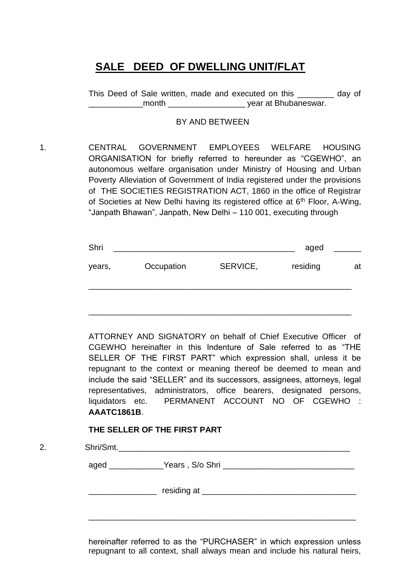# **SALE DEED OF DWELLING UNIT/FLAT**

This Deed of Sale written, made and executed on this \_\_\_\_\_\_\_\_ day of \_\_\_\_\_\_\_\_\_\_\_\_month \_\_\_\_\_\_\_\_\_\_\_\_\_\_\_\_\_ year at Bhubaneswar.

#### BY AND BETWEEN

1. CENTRAL GOVERNMENT EMPLOYEES WELFARE HOUSING ORGANISATION for briefly referred to hereunder as "CGEWHO", an autonomous welfare organisation under Ministry of Housing and Urban Poverty Alleviation of Government of India registered under the provisions of THE SOCIETIES REGISTRATION ACT, 1860 in the office of Registrar of Societies at New Delhi having its registered office at 6<sup>th</sup> Floor, A-Wing, "Janpath Bhawan", Janpath, New Delhi – 110 001, executing through

| Shri   |            |          | aged     |    |
|--------|------------|----------|----------|----|
| years, | Occupation | SERVICE, | residing | at |
|        |            |          |          |    |

\_\_\_\_\_\_\_\_\_\_\_\_\_\_\_\_\_\_\_\_\_\_\_\_\_\_\_\_\_\_\_\_\_\_\_\_\_\_\_\_\_\_\_\_\_\_\_\_\_\_\_\_\_\_\_\_\_\_

ATTORNEY AND SIGNATORY on behalf of Chief Executive Officer of CGEWHO hereinafter in this Indenture of Sale referred to as "THE SELLER OF THE FIRST PART" which expression shall, unless it be repugnant to the context or meaning thereof be deemed to mean and include the said "SELLER" and its successors, assignees, attorneys, legal representatives, administrators, office bearers, designated persons, liquidators etc. PERMANENT ACCOUNT NO OF CGEWHO : **AAATC1861B**.

## **THE SELLER OF THE FIRST PART**

2. Shri/Smt.

aged \_\_\_\_\_\_\_\_\_\_\_\_Years , S/o Shri \_\_\_\_\_\_\_\_\_\_\_\_\_\_\_\_\_\_\_\_\_\_\_\_\_\_\_\_\_

| residing at |  |  |
|-------------|--|--|
|             |  |  |

\_\_\_\_\_\_\_\_\_\_\_\_\_\_\_\_\_\_\_\_\_\_\_\_\_\_\_\_\_\_\_\_\_\_\_\_\_\_\_\_\_\_\_\_\_\_\_\_\_\_\_\_\_\_\_\_\_\_\_

hereinafter referred to as the "PURCHASER" in which expression unless repugnant to all context, shall always mean and include his natural heirs,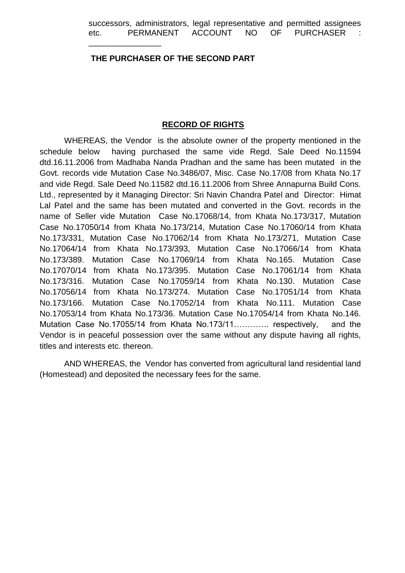#### **THE PURCHASER OF THE SECOND PART**

#### **RECORD OF RIGHTS**

WHEREAS, the Vendor is the absolute owner of the property mentioned in the schedule below having purchased the same vide Regd. Sale Deed No.11594 dtd.16.11.2006 from Madhaba Nanda Pradhan and the same has been mutated in the Govt. records vide Mutation Case No.3486/07, Misc. Case No.17/08 from Khata No.17 and vide Regd. Sale Deed No.11582 dtd.16.11.2006 from Shree Annapurna Build Cons. Ltd., represented by it Managing Director: Sri Navin Chandra Patel and Director: Himat Lal Patel and the same has been mutated and converted in the Govt. records in the name of Seller vide Mutation Case No.17068/14, from Khata No.173/317, Mutation Case No.17050/14 from Khata No.173/214, Mutation Case No.17060/14 from Khata No.173/331, Mutation Case No.17062/14 from Khata No.173/271, Mutation Case No.17064/14 from Khata No.173/393, Mutation Case No.17066/14 from Khata No.173/389. Mutation Case No.17069/14 from Khata No.165. Mutation Case No.17070/14 from Khata No.173/395. Mutation Case No.17061/14 from Khata No.173/316. Mutation Case No.17059/14 from Khata No.130. Mutation Case No.17056/14 from Khata No.173/274. Mutation Case No.17051/14 from Khata No.173/166. Mutation Case No.17052/14 from Khata No.111. Mutation Case No.17053/14 from Khata No.173/36. Mutation Case No.17054/14 from Khata No.146. Mutation Case No.17055/14 from Khata No.173/11…………. respectively, and the Vendor is in peaceful possession over the same without any dispute having all rights, titles and interests etc. thereon.

AND WHEREAS, the Vendor has converted from agricultural land residential land (Homestead) and deposited the necessary fees for the same.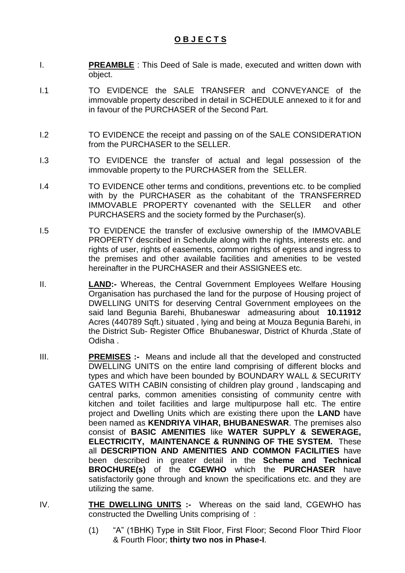# **O B J E C T S**

- I. **PREAMBLE** : This Deed of Sale is made, executed and written down with object.
- I.1 TO EVIDENCE the SALE TRANSFER and CONVEYANCE of the immovable property described in detail in SCHEDULE annexed to it for and in favour of the PURCHASER of the Second Part.
- I.2 TO EVIDENCE the receipt and passing on of the SALE CONSIDERATION from the PURCHASER to the SELLER.
- I.3 TO EVIDENCE the transfer of actual and legal possession of the immovable property to the PURCHASER from the SELLER.
- I.4 TO EVIDENCE other terms and conditions, preventions etc. to be complied with by the PURCHASER as the cohabitant of the TRANSFERRED IMMOVABLE PROPERTY covenanted with the SELLER and other PURCHASERS and the society formed by the Purchaser(s).
- I.5 TO EVIDENCE the transfer of exclusive ownership of the IMMOVABLE PROPERTY described in Schedule along with the rights, interests etc. and rights of user, rights of easements, common rights of egress and ingress to the premises and other available facilities and amenities to be vested hereinafter in the PURCHASER and their ASSIGNEES etc.
- II. **LAND:-** Whereas, the Central Government Employees Welfare Housing Organisation has purchased the land for the purpose of Housing project of DWELLING UNITS for deserving Central Government employees on the said land Begunia Barehi, Bhubaneswar admeasuring about **10.11912** Acres (440789 Sqft.) situated , lying and being at Mouza Begunia Barehi, in the District Sub- Register Office Bhubaneswar, District of Khurda ,State of Odisha .
- III. **PREMISES :-** Means and include all that the developed and constructed DWELLING UNITS on the entire land comprising of different blocks and types and which have been bounded by BOUNDARY WALL & SECURITY GATES WITH CABIN consisting of children play ground , landscaping and central parks, common amenities consisting of community centre with kitchen and toilet facilities and large multipurpose hall etc. The entire project and Dwelling Units which are existing there upon the **LAND** have been named as **KENDRIYA VIHAR, BHUBANESWAR**. The premises also consist of **BASIC AMENITIES** like **WATER SUPPLY & SEWERAGE, ELECTRICITY, MAINTENANCE & RUNNING OF THE SYSTEM.** These all **DESCRIPTION AND AMENITIES AND COMMON FACILITIES** have been described in greater detail in the **Scheme and Technical BROCHURE(s)** of the **CGEWHO** which the **PURCHASER** have satisfactorily gone through and known the specifications etc. and they are utilizing the same.
- IV. **THE DWELLING UNITS :-** Whereas on the said land, CGEWHO has constructed the Dwelling Units comprising of :
	- (1) "A" (1BHK) Type in Stilt Floor, First Floor; Second Floor Third Floor & Fourth Floor; **thirty two nos in Phase-I**.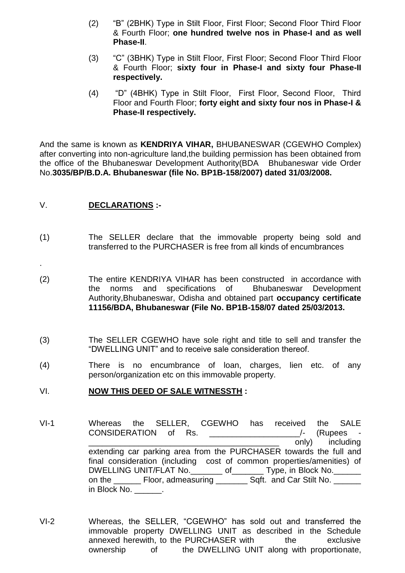- (2) "B" (2BHK) Type in Stilt Floor, First Floor; Second Floor Third Floor & Fourth Floor; **one hundred twelve nos in Phase-I and as well Phase-II**.
- (3) "C" (3BHK) Type in Stilt Floor, First Floor; Second Floor Third Floor & Fourth Floor; **sixty four in Phase-I and sixty four Phase-II respectively.**
- (4) "D" (4BHK) Type in Stilt Floor, First Floor, Second Floor, Third Floor and Fourth Floor; **forty eight and sixty four nos in Phase-I & Phase-II respectively.**

And the same is known as **KENDRIYA VIHAR,** BHUBANESWAR (CGEWHO Complex) after converting into non-agriculture land,the building permission has been obtained from the office of the Bhubaneswar Development Authority(BDA) Bhubaneswar vide Order No.**3035/BP/B.D.A. Bhubaneswar (file No. BP1B-158/2007) dated 31/03/2008.**

## V. **DECLARATIONS :-**

.

- (1) The SELLER declare that the immovable property being sold and transferred to the PURCHASER is free from all kinds of encumbrances
- (2) The entire KENDRIYA VIHAR has been constructed in accordance with the norms and specifications of Bhubaneswar Development Authority,Bhubaneswar, Odisha and obtained part **occupancy certificate 11156/BDA, Bhubaneswar (File No. BP1B-158/07 dated 25/03/2013.**
- (3) The SELLER CGEWHO have sole right and title to sell and transfer the "DWELLING UNIT" and to receive sale consideration thereof.
- (4) There is no encumbrance of loan, charges, lien etc. of any person/organization etc on this immovable property.

#### VI. **NOW THIS DEED OF SALE WITNESSTH :**

- VI-1 Whereas the SELLER, CGEWHO has received the SALE CONSIDERATION of Rs. \_\_\_\_\_\_\_\_\_\_\_\_\_\_\_\_\_\_\_\_/- (Rupees only) including extending car parking area from the PURCHASER towards the full and final consideration (including cost of common properties/amenities) of DWELLING UNIT/FLAT No. \_\_\_\_\_\_\_\_ of \_\_\_\_\_\_\_\_ Type, in Block No. \_\_\_\_\_\_ on the Floor, admeasuring Sqft. and Car Stilt No. in Block No.  $\qquad \qquad$ .
- VI-2 Whereas, the SELLER, "CGEWHO" has sold out and transferred the immovable property DWELLING UNIT as described in the Schedule annexed herewith, to the PURCHASER with the exclusive ownership of the DWELLING UNIT along with proportionate,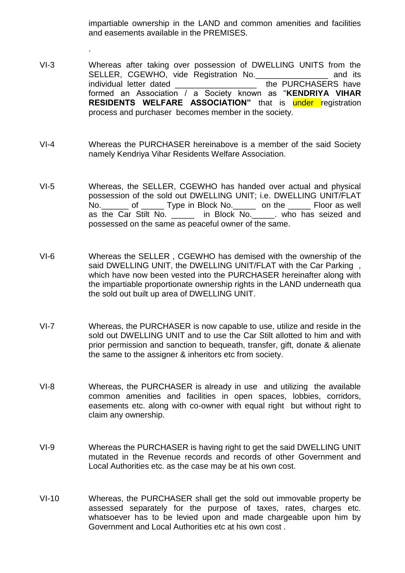impartiable ownership in the LAND and common amenities and facilities and easements available in the PREMISES.

VI-3 Whereas after taking over possession of DWELLING UNITS from the SELLER, CGEWHO, vide Registration No. **Example 20** and its individual letter dated and the PURCHASERS have formed an Association / a Society known as "**KENDRIYA VIHAR RESIDENTS WELFARE ASSOCIATION"** that is **under** registration process and purchaser becomes member in the society.

.

- VI-4 Whereas the PURCHASER hereinabove is a member of the said Society namely Kendriya Vihar Residents Welfare Association.
- VI-5 Whereas, the SELLER, CGEWHO has handed over actual and physical possession of the sold out DWELLING UNIT; i.e. DWELLING UNIT/FLAT No. of Type in Block No. on the Floor as well as the Car Stilt No. \_\_\_\_\_ in Block No.\_\_\_\_\_. who has seized and possessed on the same as peaceful owner of the same.
- VI-6 Whereas the SELLER , CGEWHO has demised with the ownership of the said DWELLING UNIT, the DWELLING UNIT/FLAT with the Car Parking , which have now been vested into the PURCHASER hereinafter along with the impartiable proportionate ownership rights in the LAND underneath qua the sold out built up area of DWELLING UNIT.
- VI-7 Whereas, the PURCHASER is now capable to use, utilize and reside in the sold out DWELLING UNIT and to use the Car Stilt allotted to him and with prior permission and sanction to bequeath, transfer, gift, donate & alienate the same to the assigner & inheritors etc from society.
- VI-8 Whereas, the PURCHASER is already in use and utilizing the available common amenities and facilities in open spaces, lobbies, corridors, easements etc. along with co-owner with equal right but without right to claim any ownership.
- VI-9 Whereas the PURCHASER is having right to get the said DWELLING UNIT mutated in the Revenue records and records of other Government and Local Authorities etc. as the case may be at his own cost.
- VI-10 Whereas, the PURCHASER shall get the sold out immovable property be assessed separately for the purpose of taxes, rates, charges etc. whatsoever has to be levied upon and made chargeable upon him by Government and Local Authorities etc at his own cost .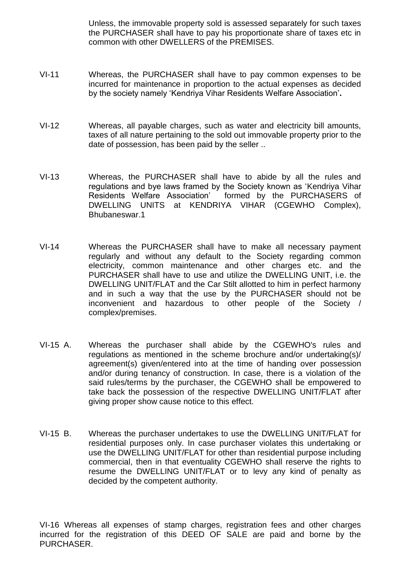Unless, the immovable property sold is assessed separately for such taxes the PURCHASER shall have to pay his proportionate share of taxes etc in common with other DWELLERS of the PREMISES.

- VI-11 Whereas, the PURCHASER shall have to pay common expenses to be incurred for maintenance in proportion to the actual expenses as decided by the society namely 'Kendriya Vihar Residents Welfare Association'**.**
- VI-12 Whereas, all payable charges, such as water and electricity bill amounts, taxes of all nature pertaining to the sold out immovable property prior to the date of possession, has been paid by the seller ..
- VI-13 Whereas, the PURCHASER shall have to abide by all the rules and regulations and bye laws framed by the Society known as 'Kendriya Vihar Residents Welfare Association' formed by the PURCHASERS of DWELLING UNITS at KENDRIYA VIHAR (CGEWHO Complex), Bhubaneswar.1
- VI-14 Whereas the PURCHASER shall have to make all necessary payment regularly and without any default to the Society regarding common electricity, common maintenance and other charges etc. and the PURCHASER shall have to use and utilize the DWELLING UNIT, i.e. the DWELLING UNIT/FLAT and the Car Stilt allotted to him in perfect harmony and in such a way that the use by the PURCHASER should not be inconvenient and hazardous to other people of the Society / complex/premises.
- VI-15 A. Whereas the purchaser shall abide by the CGEWHO's rules and regulations as mentioned in the scheme brochure and/or undertaking(s)/ agreement(s) given/entered into at the time of handing over possession and/or during tenancy of construction. In case, there is a violation of the said rules/terms by the purchaser, the CGEWHO shall be empowered to take back the possession of the respective DWELLING UNIT/FLAT after giving proper show cause notice to this effect.
- VI-15 B. Whereas the purchaser undertakes to use the DWELLING UNIT/FLAT for residential purposes only. In case purchaser violates this undertaking or use the DWELLING UNIT/FLAT for other than residential purpose including commercial, then in that eventuality CGEWHO shall reserve the rights to resume the DWELLING UNIT/FLAT or to levy any kind of penalty as decided by the competent authority.

VI-16 Whereas all expenses of stamp charges, registration fees and other charges incurred for the registration of this DEED OF SALE are paid and borne by the PURCHASER.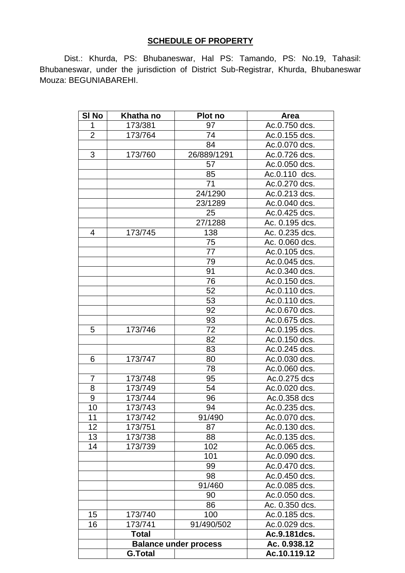#### **SCHEDULE OF PROPERTY**

Dist.: Khurda, PS: Bhubaneswar, Hal PS: Tamando, PS: No.19, Tahasil: Bhubaneswar, under the jurisdiction of District Sub-Registrar, Khurda, Bhubaneswar Mouza: BEGUNIABAREHI.

| SI No          | Khatha no      | Plot no                      | <b>Area</b>    |
|----------------|----------------|------------------------------|----------------|
| 1              | 173/381        | 97                           | Ac.0.750 dcs.  |
| $\overline{2}$ | 173/764        | 74                           | Ac.0.155 dcs.  |
|                |                | 84                           | Ac.0.070 dcs.  |
| 3              | 173/760        | 26/889/1291                  | Ac.0.726 dcs.  |
|                |                | 57                           | Ac.0.050 dcs.  |
|                |                | 85                           | Ac.0.110 dcs.  |
|                |                | 71                           | Ac.0.270 dcs.  |
|                |                | 24/1290                      | Ac.0.213 dcs.  |
|                |                | 23/1289                      | Ac.0.040 dcs.  |
|                |                | 25                           | Ac.0.425 dcs.  |
|                |                | 27/1288                      | Ac. 0.195 dcs. |
| 4              | 173/745        | 138                          | Ac. 0.235 dcs. |
|                |                | 75                           | Ac. 0.060 dcs. |
|                |                | 77                           | Ac.0.105 dcs.  |
|                |                | 79                           | Ac.0.045 dcs.  |
|                |                | 91                           | Ac.0.340 dcs.  |
|                |                | 76                           | Ac.0.150 dcs.  |
|                |                | 52                           | Ac.0.110 dcs.  |
|                |                | 53                           | Ac.0.110 dcs.  |
|                |                | 92                           | Ac.0.670 dcs.  |
|                |                | 93                           | Ac.0.675 dcs.  |
| 5              | 173/746        | 72                           | Ac.0.195 dcs.  |
|                |                | 82                           | Ac.0.150 dcs.  |
|                |                | 83                           | Ac.0.245 dcs.  |
| 6              | 173/747        | 80                           | Ac.0.030 dcs.  |
|                |                | 78                           | Ac.0.060 dcs.  |
| $\overline{7}$ | 173/748        | 95                           | Ac.0.275 dcs   |
| 8              | 173/749        | 54                           | Ac.0.020 dcs.  |
| 9              | 173/744        | 96                           | Ac.0.358 dcs   |
| 10             | 173/743        | 94                           | Ac.0.235 dcs.  |
| 11             | 173/742        | 91/490                       | Ac.0.070 dcs.  |
| 12             | 173/751        | 87                           | Ac.0.130 dcs.  |
| 13             | 173/738        | 88                           | Ac.0.135 dcs.  |
| 14             | 173/739        | 102                          | Ac.0.065 dcs.  |
|                |                | 101                          | Ac.0.090 dcs.  |
|                |                | 99                           | Ac.0.470 dcs.  |
|                |                | 98                           | Ac.0.450 dcs.  |
|                |                | 91/460                       | Ac.0.085 dcs.  |
|                |                | 90                           | Ac.0.050 dcs.  |
|                |                | 86                           | Ac. 0.350 dcs. |
| 15             | 173/740        | 100                          | Ac.0.185 dcs.  |
| 16             | 173/741        | 91/490/502                   | Ac.0.029 dcs.  |
|                | <b>Total</b>   |                              | Ac.9.181dcs.   |
|                |                | <b>Balance under process</b> | Ac. 0.938.12   |
|                | <b>G.Total</b> |                              | Ac.10.119.12   |